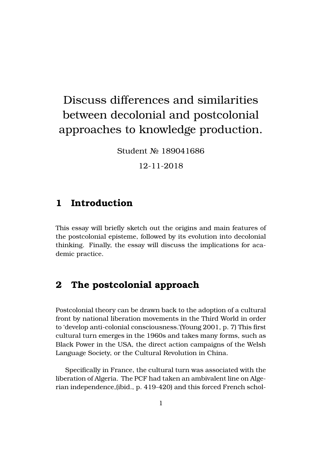# Discuss differences and similarities between decolonial and postcolonial approaches to knowledge production.

Student No 189041686

12-11-2018

#### **1 Introduction**

This essay will briefly sketch out the origins and main features of the postcolonial episteme, followed by its evolution into decolonial thinking. Finally, the essay will discuss the implications for academic practice.

#### **2 The postcolonial approach**

Postcolonial theory can be drawn back to the adoption of a cultural front by national liberation movements in the Third World in order to 'develop anti-colonial consciousness.'(Young [2001,](#page-6-0) p. 7) This first cultural turn emerges in the 1960s and takes many forms, such as Black Power in the USA, the direct action campaigns of the Welsh Language Society, or the Cultural Revolution in China.

Specifically in France, the cultural turn was associated with the liberation of Algeria. The PCF had taken an ambivalent line on Algerian independence,[\(ibid.](#page-6-0), p. 419-420) and this forced French schol-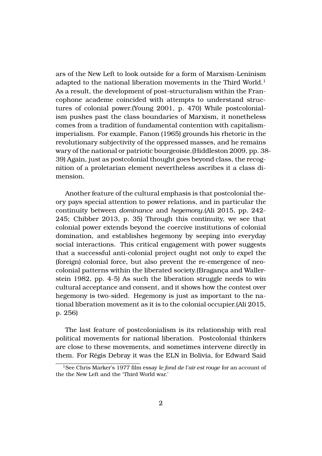ars of the New Left to look outside for a form of Marxism-Leninism adapted to the national liberation movements in the Third World.<sup>[1](#page-1-0)</sup> As a result, the development of post-structuralism within the Francophone academe coincided with attempts to understand structures of colonial power.(Young [2001,](#page-6-0) p. 470) While postcolonialism pushes past the class boundaries of Marxism, it nonetheless comes from a tradition of fundamental contention with capitalismimperialism. For example, Fanon [\(1965\)](#page-5-0) grounds his rhetoric in the revolutionary subjectivity of the oppressed masses, and he remains wary of the national or patriotic bourgeoisie.(Hiddleston [2009,](#page-5-1) pp. 38- 39) Again, just as postcolonial thought goes beyond class, the recognition of a proletarian element nevertheless ascribes it a class dimension.

Another feature of the cultural emphasis is that postcolonial theory pays special attention to power relations, and in particular the continuity between *dominance* and *hegemony*.(Ali [2015](#page-5-2), pp. 242- 245; Chibber [2013,](#page-5-3) p. 35) Through this continuity, we see that colonial power extends beyond the coercive institutions of colonial domination, and establishes hegemony by seeping into everyday social interactions. This critical engagement with power suggests that a successful anti-colonial project ought not only to expel the (foreign) colonial force, but also prevent the re-emergence of neocolonial patterns within the liberated society.(Bragança and Wallerstein [1982,](#page-5-4) pp. 4-5) As such the liberation struggle needs to win cultural acceptance and consent, and it shows how the contest over hegemony is two-sided. Hegemony is just as important to the national liberation movement as it is to the colonial occupier.(Ali [2015,](#page-5-2) p. 256)

The last feature of postcolonialism is its relationship with real political movements for national liberation. Postcolonial thinkers are close to these movements, and sometimes intervene directly in them. For Régis Debray it was the ELN in Bolivia, for Edward Said

<span id="page-1-0"></span><sup>1</sup>See Chris Marker's 1977 film essay *le fond de l'air est rouge* for an account of the the New Left and the 'Third World war.'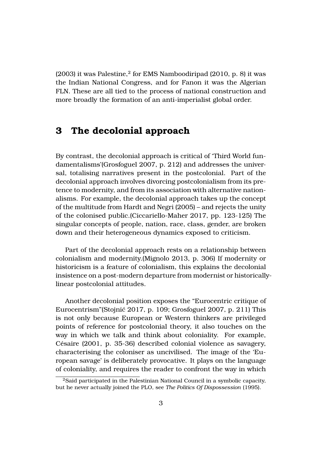$(2003)$  $(2003)$  it was Palestine, $^2$  $^2$  for EMS Namboodiripad [\(2010](#page-6-2), p. 8) it was the Indian National Congress, and for Fanon it was the Algerian FLN. These are all tied to the process of national construction and more broadly the formation of an anti-imperialist global order.

### **3 The decolonial approach**

By contrast, the decolonial approach is critical of 'Third World fundamentalisms'(Grosfoguel [2007,](#page-5-5) p. 212) and addresses the universal, totalising narratives present in the postcolonial. Part of the decolonial approach involves divorcing postcolonialism from its pretence to modernity, and from its association with alternative nationalisms. For example, the decolonial approach takes up the concept of the multitude from Hardt and Negri [\(2005](#page-5-6)) – and rejects the unity of the colonised public.(Ciccariello-Maher [2017](#page-5-7), pp. 123-125) The singular concepts of people, nation, race, class, gender, are broken down and their heterogeneous dynamics exposed to criticism.

Part of the decolonial approach rests on a relationship between colonialism and modernity.(Mignolo [2013](#page-6-3), p. 306) If modernity or historicism is a feature of colonialism, this explains the decolonial insistence on a post-modern departure from modernist or historicallylinear postcolonial attitudes.

Another decolonial position exposes the "Eurocentric critique of Eurocentrism"(Stojnić [2017](#page-6-4), p. 109; Grosfoguel [2007,](#page-5-5) p. 211) This is not only because European or Western thinkers are privileged points of reference for postcolonial theory, it also touches on the way in which we talk and think about coloniality. For example, Césaire [\(2001,](#page-5-8) p. 35-36) described colonial violence as savagery, characterising the coloniser as uncivilised. The image of the 'European savage' is deliberately provocative. It plays on the language of coloniality, and requires the reader to confront the way in which

<span id="page-2-0"></span><sup>2</sup>Said participated in the Palestinian National Council in a symbolic capacity, but he never actually joined the PLO, see *The Politics Of Dispossession* (1995).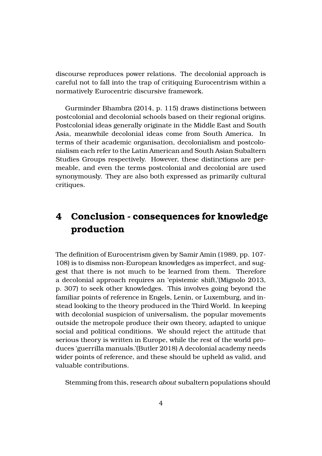discourse reproduces power relations. The decolonial approach is careful not to fall into the trap of critiquing Eurocentrism within a normatively Eurocentric discursive framework.

Gurminder Bhambra [\(2014,](#page-5-9) p. 115) draws distinctions between postcolonial and decolonial schools based on their regional origins. Postcolonial ideas generally originate in the Middle East and South Asia, meanwhile decolonial ideas come from South America. In terms of their academic organisation, decolonialism and postcolonialism each refer to the Latin American and South Asian Subaltern Studies Groups respectively. However, these distinctions are permeable, and even the terms postcolonial and decolonial are used synonymously. They are also both expressed as primarily cultural critiques.

# **4 Conclusion - consequences for knowledge production**

The definition of Eurocentrism given by Samir Amin [\(1989,](#page-5-10) pp. 107- 108) is to dismiss non-European knowledges as imperfect, and suggest that there is not much to be learned from them. Therefore a decolonial approach requires an 'epistemic shift,'(Mignolo [2013,](#page-6-3) p. 307) to seek other knowledges. This involves going beyond the familiar points of reference in Engels, Lenin, or Luxemburg, and instead looking to the theory produced in the Third World. In keeping with decolonial suspicion of universalism, the popular movements outside the metropole produce their own theory, adapted to unique social and political conditions. We should reject the attitude that serious theory is written in Europe, while the rest of the world produces 'guerrilla manuals.'(Butler [2018\)](#page-5-11) A decolonial academy needs wider points of reference, and these should be upheld as valid, and valuable contributions.

Stemming from this, research *about* subaltern populations should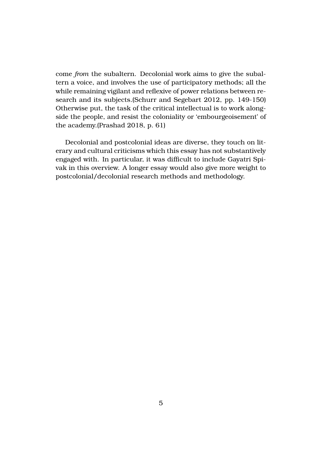come *from* the subaltern. Decolonial work aims to give the subaltern a voice, and involves the use of participatory methods; all the while remaining vigilant and reflexive of power relations between research and its subjects.(Schurr and Segebart [2012](#page-6-5), pp. 149-150) Otherwise put, the task of the critical intellectual is to work alongside the people, and resist the coloniality or 'embourgeoisement' of the academy.(Prashad [2018,](#page-6-6) p. 61)

Decolonial and postcolonial ideas are diverse, they touch on literary and cultural criticisms which this essay has not substantively engaged with. In particular, it was difficult to include Gayatri Spivak in this overview. A longer essay would also give more weight to postcolonial/decolonial research methods and methodology.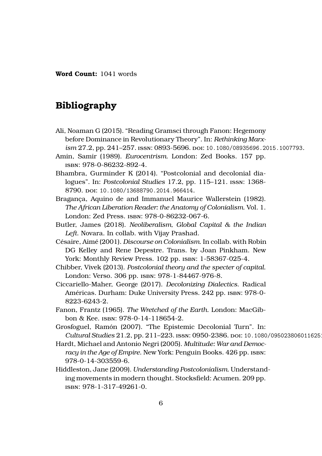**Word Count:** 1041 words

## **Bibliography**

- <span id="page-5-2"></span>Ali, Noaman G (2015). "Reading Gramsci through Fanon: Hegemony before Dominance in Revolutionary Theory". In: *Rethinking Marxism* 27.2, pp. 241–257. issn: 0893-5696. doi: [10.1080/08935696.2015.1007793](https://doi.org/10.1080/08935696.2015.1007793).
- <span id="page-5-10"></span><span id="page-5-9"></span>Amin, Samir (1989). *Eurocentrism*. London: Zed Books. 157 pp. isbn: 978-0-86232-892-4.
- Bhambra, Gurminder K (2014). "Postcolonial and decolonial dialogues". In: *Postcolonial Studies* 17.2, pp. 115–121. issn: 1368- 8790. doi: [10.1080/13688790.2014.966414](https://doi.org/10.1080/13688790.2014.966414).
- <span id="page-5-4"></span>Bragança, Aquino de and Immanuel Maurice Wallerstein (1982). *The African Liberation Reader: the Anatomy of Colonialism*. Vol. 1. London: Zed Press. isbn: 978-0-86232-067-6.
- <span id="page-5-11"></span><span id="page-5-8"></span>Butler, James (2018). *Neoliberalism, Global Capital & the Indian Left*. Novara. In collab. with Vijay Prashad.
- Césaire, Aimé (2001). *Discourse on Colonialism*. In collab. with Robin DG Kelley and Rene Depestre. Trans. by Joan Pinkham. New York: Monthly Review Press. 102 pp. isbn: 1-58367-025-4.
- <span id="page-5-7"></span><span id="page-5-3"></span>Chibber, Vivek (2013). *Postcolonial theory and the specter of capital*. London: Verso. 306 pp. isbn: 978-1-84467-976-8.
- Ciccariello-Maher, George (2017). *Decolonizing Dialectics*. Radical Américas. Durham: Duke University Press. 242 pp. isbn: 978-0- 8223-6243-2.
- <span id="page-5-5"></span><span id="page-5-0"></span>Fanon, Frantz (1965). *The Wretched of the Earth*. London: MacGibbon & Kee. isbn: 978-0-14-118654-2.
- <span id="page-5-6"></span>Grosfoguel, Ramón (2007). "The Epistemic Decolonial Turn". In: *Cultural Studies* 21.2, pp. 211-223. ISSN: 0950-2386. DOI: 10.1080/0950238060116251
- Hardt, Michael and Antonio Negri (2005). *Multitude: War and Democ*racy in the Age of Empire. New York: Penguin Books. 426 pp. ISBN: 978-0-14-303559-6.
- <span id="page-5-1"></span>Hiddleston, Jane (2009). *Understanding Postcolonialism*. Understanding movements in modern thought. Stocksfield: Acumen. 209 pp. isbn: 978-1-317-49261-0.